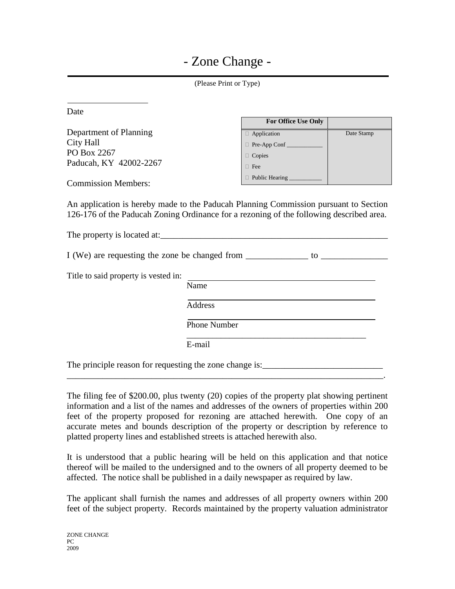| (Please Print or Type)                                                                                                                                                       |        |                                                                                           |            |  |
|------------------------------------------------------------------------------------------------------------------------------------------------------------------------------|--------|-------------------------------------------------------------------------------------------|------------|--|
| Date                                                                                                                                                                         |        |                                                                                           |            |  |
|                                                                                                                                                                              |        | For Office Use Only                                                                       |            |  |
| Department of Planning                                                                                                                                                       |        | Application                                                                               | Date Stamp |  |
| <b>City Hall</b>                                                                                                                                                             |        |                                                                                           |            |  |
| PO Box 2267                                                                                                                                                                  |        | $\Box$ Copies                                                                             |            |  |
| Paducah, KY 42002-2267                                                                                                                                                       |        | $\Box$ Fee                                                                                |            |  |
| <b>Commission Members:</b>                                                                                                                                                   |        | D Public Hearing _________                                                                |            |  |
|                                                                                                                                                                              |        |                                                                                           |            |  |
| 126-176 of the Paducah Zoning Ordinance for a rezoning of the following described area.<br>I (We) are requesting the zone be changed from _______________ to _______________ |        |                                                                                           |            |  |
|                                                                                                                                                                              |        |                                                                                           |            |  |
| Title to said property is vested in:                                                                                                                                         |        | the control of the control of the control of the control of the control of the control of |            |  |
|                                                                                                                                                                              | Name   |                                                                                           |            |  |
| <b>Address</b>                                                                                                                                                               |        |                                                                                           |            |  |
| <b>Phone Number</b>                                                                                                                                                          |        |                                                                                           |            |  |
|                                                                                                                                                                              | E-mail |                                                                                           |            |  |
| The principle reason for requesting the zone change is:                                                                                                                      |        |                                                                                           |            |  |

The filing fee of \$200.00, plus twenty (20) copies of the property plat showing pertinent information and a list of the names and addresses of the owners of properties within 200 feet of the property proposed for rezoning are attached herewith. One copy of an accurate metes and bounds description of the property or description by reference to platted property lines and established streets is attached herewith also.

\_\_\_\_\_\_\_\_\_\_\_\_\_\_\_\_\_\_\_\_\_\_\_\_\_\_\_\_\_\_\_\_\_\_\_\_\_\_\_\_\_\_\_\_\_\_\_\_\_\_\_\_\_\_\_\_\_\_\_\_\_\_\_\_\_\_\_\_\_\_\_.

It is understood that a public hearing will be held on this application and that notice thereof will be mailed to the undersigned and to the owners of all property deemed to be affected. The notice shall be published in a daily newspaper as required by law.

The applicant shall furnish the names and addresses of all property owners within 200 feet of the subject property. Records maintained by the property valuation administrator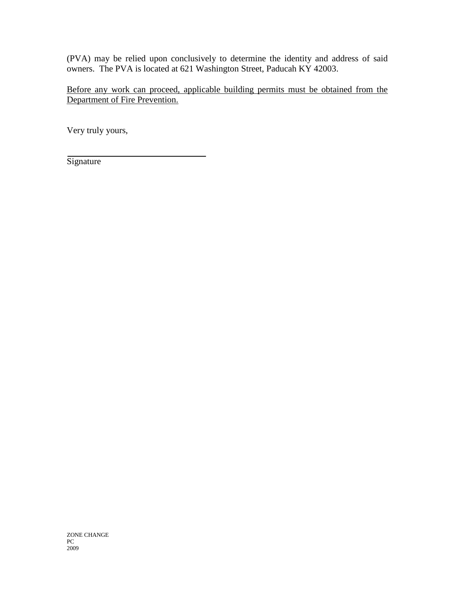(PVA) may be relied upon conclusively to determine the identity and address of said owners. The PVA is located at 621 Washington Street, Paducah KY 42003.

Before any work can proceed, applicable building permits must be obtained from the Department of Fire Prevention.

Very truly yours,

**Signature** 

ZONE CHANGE PC 2009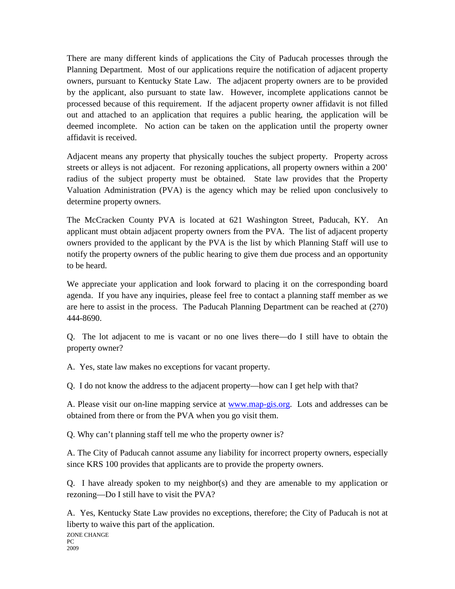There are many different kinds of applications the City of Paducah processes through the Planning Department. Most of our applications require the notification of adjacent property owners, pursuant to Kentucky State Law. The adjacent property owners are to be provided by the applicant, also pursuant to state law. However, incomplete applications cannot be processed because of this requirement. If the adjacent property owner affidavit is not filled out and attached to an application that requires a public hearing, the application will be deemed incomplete. No action can be taken on the application until the property owner affidavit is received.

Adjacent means any property that physically touches the subject property. Property across streets or alleys is not adjacent. For rezoning applications, all property owners within a 200' radius of the subject property must be obtained. State law provides that the Property Valuation Administration (PVA) is the agency which may be relied upon conclusively to determine property owners.

The McCracken County PVA is located at 621 Washington Street, Paducah, KY. An applicant must obtain adjacent property owners from the PVA. The list of adjacent property owners provided to the applicant by the PVA is the list by which Planning Staff will use to notify the property owners of the public hearing to give them due process and an opportunity to be heard.

We appreciate your application and look forward to placing it on the corresponding board agenda. If you have any inquiries, please feel free to contact a planning staff member as we are here to assist in the process. The Paducah Planning Department can be reached at (270) 444-8690.

Q. The lot adjacent to me is vacant or no one lives there—do I still have to obtain the property owner?

A. Yes, state law makes no exceptions for vacant property.

Q. I do not know the address to the adjacent property—how can I get help with that?

A. Please visit our on-line mapping service at [www.map-gis.org.](http://www.map-gis.org/) Lots and addresses can be obtained from there or from the PVA when you go visit them.

Q. Why can't planning staff tell me who the property owner is?

A. The City of Paducah cannot assume any liability for incorrect property owners, especially since KRS 100 provides that applicants are to provide the property owners.

Q. I have already spoken to my neighbor(s) and they are amenable to my application or rezoning—Do I still have to visit the PVA?

A. Yes, Kentucky State Law provides no exceptions, therefore; the City of Paducah is not at liberty to waive this part of the application.

ZONE CHANGE PC 2009